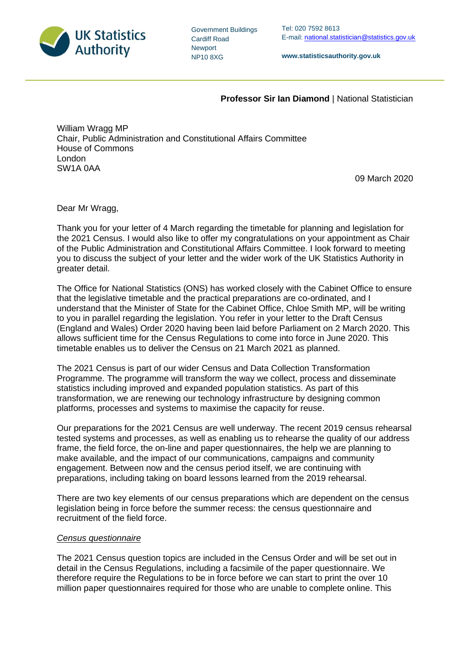

Government Buildings Cardiff Road Newport NP10 8XG

Tel: 020 7592 8613 E-mail: [national.statistician@statistics.gov.uk](mailto:national.statistician@statistics.gov.uk)

**www.statisticsauthority.gov.uk**

## **Professor Sir Ian Diamond** | National Statistician

William Wragg MP Chair, Public Administration and Constitutional Affairs Committee House of Commons London SW1A 0AA

09 March 2020

Dear Mr Wragg,

Thank you for your letter of 4 March regarding the timetable for planning and legislation for the 2021 Census. I would also like to offer my congratulations on your appointment as Chair of the Public Administration and Constitutional Affairs Committee. I look forward to meeting you to discuss the subject of your letter and the wider work of the UK Statistics Authority in greater detail.

The Office for National Statistics (ONS) has worked closely with the Cabinet Office to ensure that the legislative timetable and the practical preparations are co-ordinated, and I understand that the Minister of State for the Cabinet Office, Chloe Smith MP, will be writing to you in parallel regarding the legislation. You refer in your letter to the Draft Census (England and Wales) Order 2020 having been laid before Parliament on 2 March 2020. This allows sufficient time for the Census Regulations to come into force in June 2020. This timetable enables us to deliver the Census on 21 March 2021 as planned.

The 2021 Census is part of our wider Census and Data Collection Transformation Programme. The programme will transform the way we collect, process and disseminate statistics including improved and expanded population statistics. As part of this transformation, we are renewing our technology infrastructure by designing common platforms, processes and systems to maximise the capacity for reuse.

Our preparations for the 2021 Census are well underway. The recent 2019 census rehearsal tested systems and processes, as well as enabling us to rehearse the quality of our address frame, the field force, the on-line and paper questionnaires, the help we are planning to make available, and the impact of our communications, campaigns and community engagement. Between now and the census period itself, we are continuing with preparations, including taking on board lessons learned from the 2019 rehearsal.

There are two key elements of our census preparations which are dependent on the census legislation being in force before the summer recess: the census questionnaire and recruitment of the field force.

## *Census questionnaire*

The 2021 Census question topics are included in the Census Order and will be set out in detail in the Census Regulations, including a facsimile of the paper questionnaire. We therefore require the Regulations to be in force before we can start to print the over 10 million paper questionnaires required for those who are unable to complete online. This